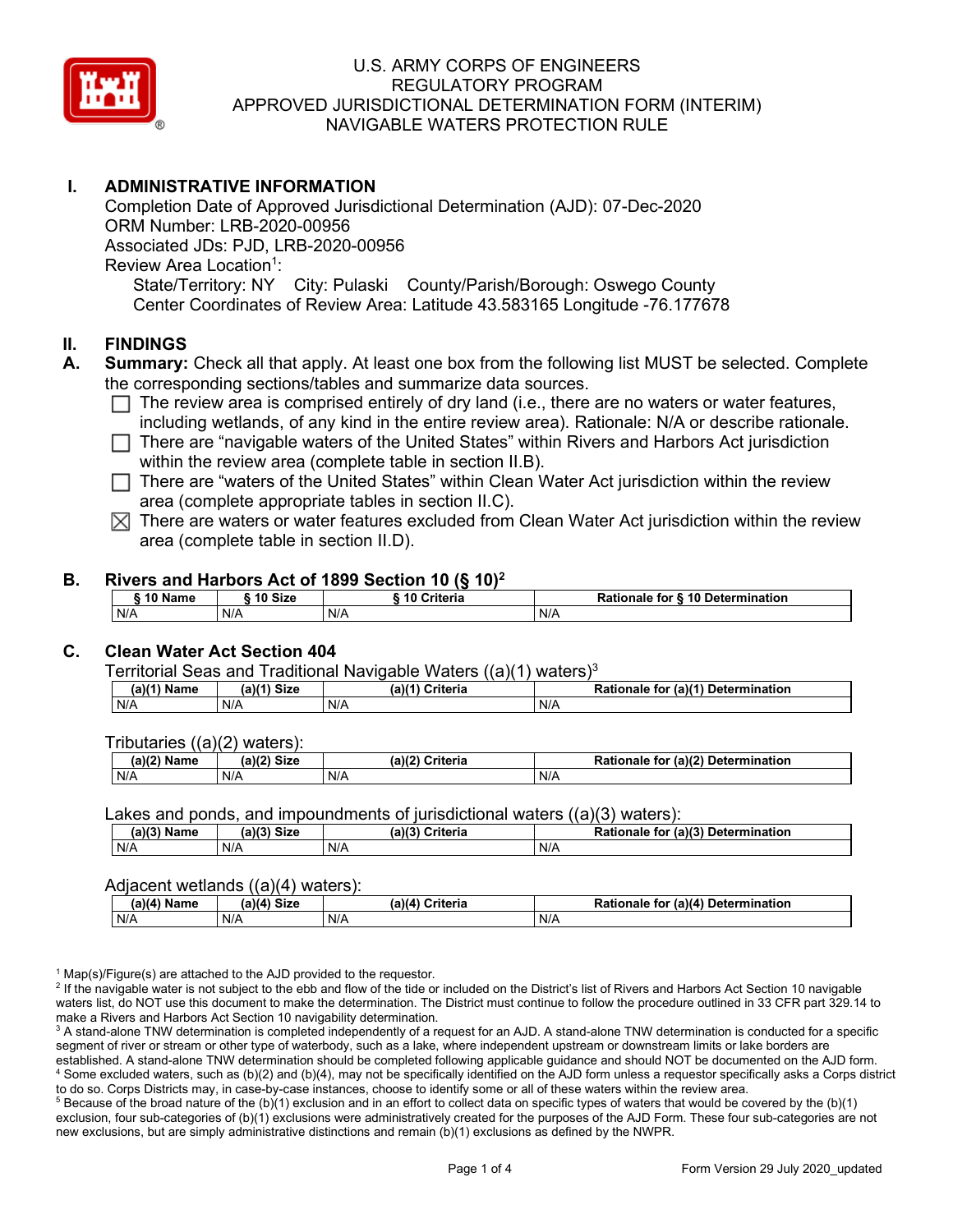

## **I. ADMINISTRATIVE INFORMATION**

Completion Date of Approved Jurisdictional Determination (AJD): 07-Dec-2020 ORM Number: LRB-2020-00956 Associated JDs: PJD, LRB-2020-00956 Review Area Location<sup>1</sup>: State/Territory: NY City: Pulaski County/Parish/Borough: Oswego County Center Coordinates of Review Area: Latitude 43.583165 Longitude -76.177678

#### **II. FINDINGS**

- **A. Summary:** Check all that apply. At least one box from the following list MUST be selected. Complete the corresponding sections/tables and summarize data sources.
	- $\Box$  The review area is comprised entirely of dry land (i.e., there are no waters or water features, including wetlands, of any kind in the entire review area). Rationale: N/A or describe rationale.
	- $\Box$  There are "navigable waters of the United States" within Rivers and Harbors Act jurisdiction within the review area (complete table in section II.B).
	- $\Box$  There are "waters of the United States" within Clean Water Act jurisdiction within the review area (complete appropriate tables in section II.C).
	- $\boxtimes$  There are waters or water features excluded from Clean Water Act jurisdiction within the review area (complete table in section II.D).

#### **B. Rivers and Harbors Act of 1899 Section 10 (§ 10)2**

|     | ົ 10 Name |     | ົ 10 Size | Criteria<br>. 1 U |     | Rationale for § 10 Determination |  |
|-----|-----------|-----|-----------|-------------------|-----|----------------------------------|--|
| N/A |           | N/A |           | N/A               | N/A |                                  |  |

## **C. Clean Water Act Section 404**

Territorial Seas and Traditional Navigable Waters  $((a)(1)$  waters)<sup>3</sup>

| $(a)(1)$ .<br>Name | $(a)$ $(4)$<br>Size | (a)<br>Criteria | (a)(1) Determination<br>Rationale<br>for |
|--------------------|---------------------|-----------------|------------------------------------------|
| N/A                | N/A                 | N/A             | N/A                                      |

Tributaries ((a)(2) waters):

| н   | $\sim$<br>$\sim$ Cime<br>JILE | 21/2<br><br>пе | (2)<br><b>Determination</b><br>TOI<br>naie |
|-----|-------------------------------|----------------|--------------------------------------------|
| N/A | N/A                           | N/A            | N/A                                        |

Lakes and ponds, and impoundments of jurisdictional waters  $((a)(3)$  waters):

| (a)(3) Name | (a)(3) Size | (a)(?') | Criteria | Rationale<br>for | $\mathcal{L}$ (a)(?)<br>Determination |
|-------------|-------------|---------|----------|------------------|---------------------------------------|
| N/A         | N/A         | N/A     |          | N/A              |                                       |

#### Adjacent wetlands  $((a)(4)$  waters):

| $(a)(4)$ Name | (a)(4) Size | .<br>(a)(4) Criteria | Rationale for (a)(4) Determination |
|---------------|-------------|----------------------|------------------------------------|
| N/A           | N/A         | N/A                  | N/A                                |

 $1$  Map(s)/Figure(s) are attached to the AJD provided to the requestor.

<sup>2</sup> If the navigable water is not subject to the ebb and flow of the tide or included on the District's list of Rivers and Harbors Act Section 10 navigable waters list, do NOT use this document to make the determination. The District must continue to follow the procedure outlined in 33 CFR part 329.14 to make a Rivers and Harbors Act Section 10 navigability determination.

<sup>3</sup> A stand-alone TNW determination is completed independently of a request for an AJD. A stand-alone TNW determination is conducted for a specific segment of river or stream or other type of waterbody, such as a lake, where independent upstream or downstream limits or lake borders are established. A stand-alone TNW determination should be completed following applicable guidance and should NOT be documented on the AJD form. <sup>4</sup> Some excluded waters, such as (b)(2) and (b)(4), may not be specifically identified on the AJD form unless a requestor specifically asks a Corps district to do so. Corps Districts may, in case-by-case instances, choose to identify some or all of these waters within the review area.

 $5$  Because of the broad nature of the (b)(1) exclusion and in an effort to collect data on specific types of waters that would be covered by the (b)(1) exclusion, four sub-categories of (b)(1) exclusions were administratively created for the purposes of the AJD Form. These four sub-categories are not new exclusions, but are simply administrative distinctions and remain (b)(1) exclusions as defined by the NWPR.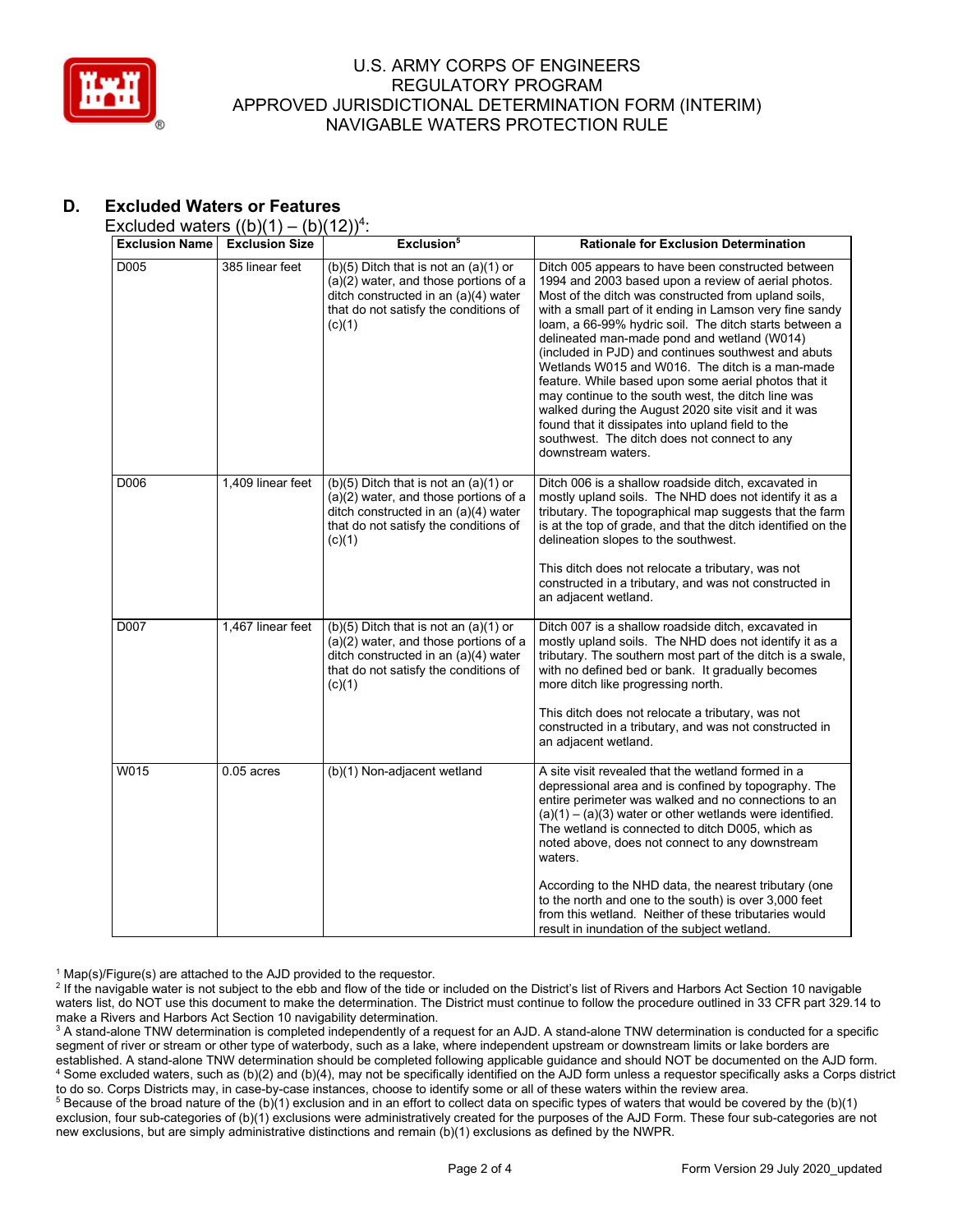

# **D. Excluded Waters or Features**

Excluded waters  $((b)(1) - (b)(12))^4$ :

| <b>Exclusion Name</b> | <b>Exclusion Size</b> | Exclusion <sup>5</sup>                                                                                                                                                          | <b>Rationale for Exclusion Determination</b>                                                                                                                                                                                                                                                                                                                                                                                                                                                                                                                                                                                                                                                                                                     |
|-----------------------|-----------------------|---------------------------------------------------------------------------------------------------------------------------------------------------------------------------------|--------------------------------------------------------------------------------------------------------------------------------------------------------------------------------------------------------------------------------------------------------------------------------------------------------------------------------------------------------------------------------------------------------------------------------------------------------------------------------------------------------------------------------------------------------------------------------------------------------------------------------------------------------------------------------------------------------------------------------------------------|
| D005                  | 385 linear feet       | $(b)(5)$ Ditch that is not an $(a)(1)$ or<br>(a)(2) water, and those portions of a<br>ditch constructed in an (a)(4) water<br>that do not satisfy the conditions of<br>(c)(1)   | Ditch 005 appears to have been constructed between<br>1994 and 2003 based upon a review of aerial photos.<br>Most of the ditch was constructed from upland soils,<br>with a small part of it ending in Lamson very fine sandy<br>loam, a 66-99% hydric soil. The ditch starts between a<br>delineated man-made pond and wetland (W014)<br>(included in PJD) and continues southwest and abuts<br>Wetlands W015 and W016. The ditch is a man-made<br>feature. While based upon some aerial photos that it<br>may continue to the south west, the ditch line was<br>walked during the August 2020 site visit and it was<br>found that it dissipates into upland field to the<br>southwest. The ditch does not connect to any<br>downstream waters. |
| D006                  | 1,409 linear feet     | $(b)(5)$ Ditch that is not an $(a)(1)$ or<br>(a)(2) water, and those portions of a<br>ditch constructed in an (a)(4) water<br>that do not satisfy the conditions of<br>(c)(1)   | Ditch 006 is a shallow roadside ditch, excavated in<br>mostly upland soils. The NHD does not identify it as a<br>tributary. The topographical map suggests that the farm<br>is at the top of grade, and that the ditch identified on the<br>delineation slopes to the southwest.<br>This ditch does not relocate a tributary, was not<br>constructed in a tributary, and was not constructed in<br>an adjacent wetland.                                                                                                                                                                                                                                                                                                                          |
| D007                  | 1,467 linear feet     | $(b)(5)$ Ditch that is not an $(a)(1)$ or<br>$(a)(2)$ water, and those portions of a<br>ditch constructed in an (a)(4) water<br>that do not satisfy the conditions of<br>(c)(1) | Ditch 007 is a shallow roadside ditch, excavated in<br>mostly upland soils. The NHD does not identify it as a<br>tributary. The southern most part of the ditch is a swale,<br>with no defined bed or bank. It gradually becomes<br>more ditch like progressing north.<br>This ditch does not relocate a tributary, was not<br>constructed in a tributary, and was not constructed in<br>an adjacent wetland.                                                                                                                                                                                                                                                                                                                                    |
| W015                  | $0.05$ acres          | (b)(1) Non-adjacent wetland                                                                                                                                                     | A site visit revealed that the wetland formed in a<br>depressional area and is confined by topography. The<br>entire perimeter was walked and no connections to an<br>$(a)(1) - (a)(3)$ water or other wetlands were identified.<br>The wetland is connected to ditch D005, which as<br>noted above, does not connect to any downstream<br>waters.<br>According to the NHD data, the nearest tributary (one<br>to the north and one to the south) is over 3,000 feet<br>from this wetland. Neither of these tributaries would<br>result in inundation of the subject wetland.                                                                                                                                                                    |

 $1$  Map(s)/Figure(s) are attached to the AJD provided to the requestor.

<sup>2</sup> If the navigable water is not subject to the ebb and flow of the tide or included on the District's list of Rivers and Harbors Act Section 10 navigable waters list, do NOT use this document to make the determination. The District must continue to follow the procedure outlined in 33 CFR part 329.14 to make a Rivers and Harbors Act Section 10 navigability determination.

<sup>3</sup> A stand-alone TNW determination is completed independently of a request for an AJD. A stand-alone TNW determination is conducted for a specific segment of river or stream or other type of waterbody, such as a lake, where independent upstream or downstream limits or lake borders are established. A stand-alone TNW determination should be completed following applicable guidance and should NOT be documented on the AJD form. <sup>4</sup> Some excluded waters, such as (b)(2) and (b)(4), may not be specifically identified on the AJD form unless a requestor specifically asks a Corps district to do so. Corps Districts may, in case-by-case instances, choose to identify some or all of these waters within the review area.

<sup>5</sup> Because of the broad nature of the (b)(1) exclusion and in an effort to collect data on specific types of waters that would be covered by the (b)(1) exclusion, four sub-categories of (b)(1) exclusions were administratively created for the purposes of the AJD Form. These four sub-categories are not new exclusions, but are simply administrative distinctions and remain (b)(1) exclusions as defined by the NWPR.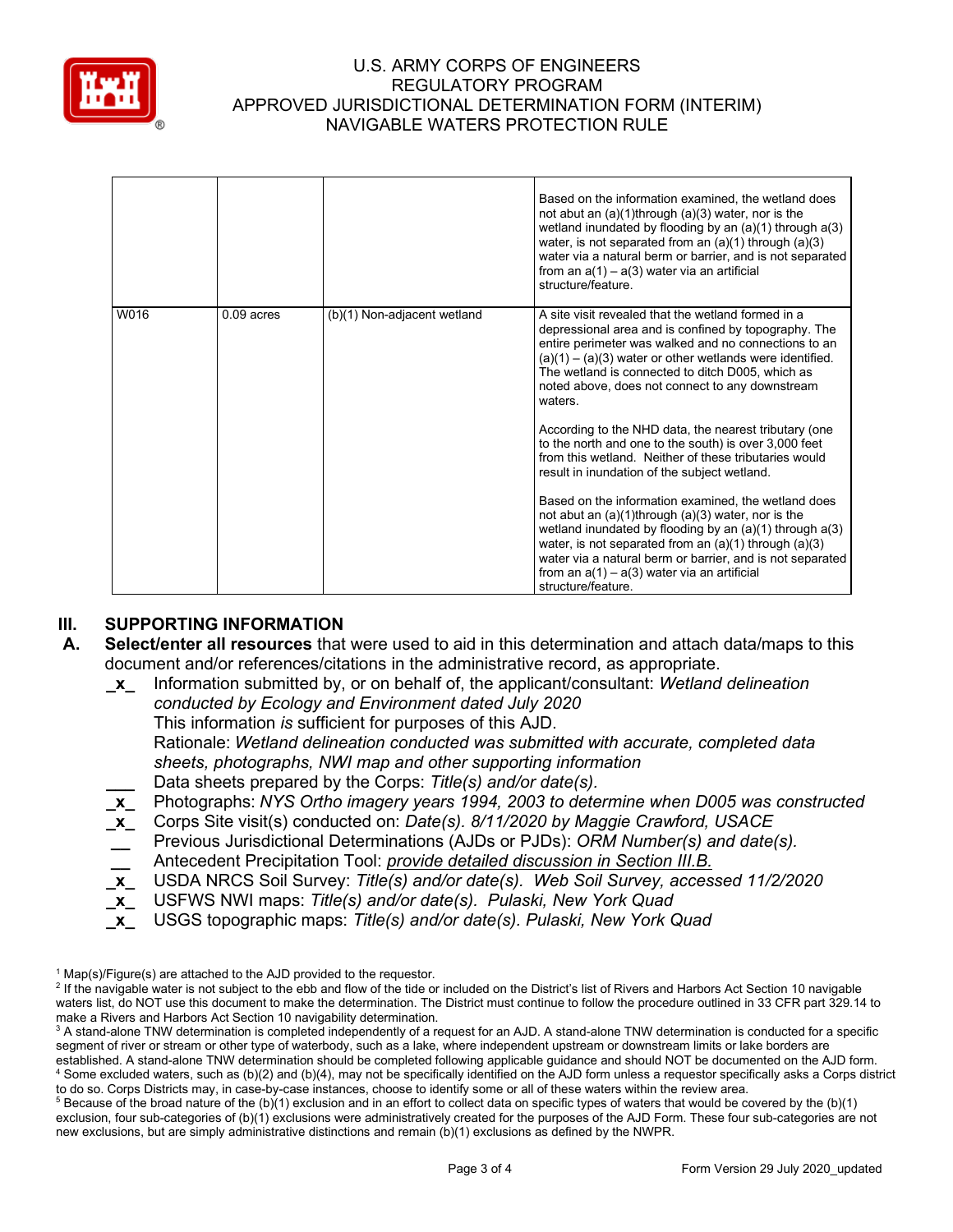

|      |              |                             | Based on the information examined, the wetland does<br>not abut an $(a)(1)$ through $(a)(3)$ water, nor is the<br>wetland inundated by flooding by an $(a)(1)$ through $a(3)$<br>water, is not separated from an $(a)(1)$ through $(a)(3)$<br>water via a natural berm or barrier, and is not separated<br>from an $a(1) - a(3)$ water via an artificial<br>structure/feature. |
|------|--------------|-----------------------------|--------------------------------------------------------------------------------------------------------------------------------------------------------------------------------------------------------------------------------------------------------------------------------------------------------------------------------------------------------------------------------|
| W016 | $0.09$ acres | (b)(1) Non-adjacent wetland | A site visit revealed that the wetland formed in a<br>depressional area and is confined by topography. The<br>entire perimeter was walked and no connections to an<br>$(a)(1) - (a)(3)$ water or other wetlands were identified.<br>The wetland is connected to ditch D005, which as<br>noted above, does not connect to any downstream<br>waters.                             |
|      |              |                             | According to the NHD data, the nearest tributary (one<br>to the north and one to the south) is over 3,000 feet<br>from this wetland. Neither of these tributaries would<br>result in inundation of the subject wetland.                                                                                                                                                        |
|      |              |                             | Based on the information examined, the wetland does<br>not abut an $(a)(1)$ through $(a)(3)$ water, nor is the<br>wetland inundated by flooding by an $(a)(1)$ through $a(3)$<br>water, is not separated from an $(a)(1)$ through $(a)(3)$<br>water via a natural berm or barrier, and is not separated<br>from an $a(1) - a(3)$ water via an artificial<br>structure/feature. |

## **III. SUPPORTING INFORMATION**

- **A. Select/enter all resources** that were used to aid in this determination and attach data/maps to this document and/or references/citations in the administrative record, as appropriate.
	- **\_x\_** Information submitted by, or on behalf of, the applicant/consultant: *Wetland delineation conducted by Ecology and Environment dated July 2020* This information *is* sufficient for purposes of this AJD. Rationale: *Wetland delineation conducted was submitted with accurate, completed data sheets, photographs, NWI map and other supporting information* **\_\_\_** Data sheets prepared by the Corps: *Title(s) and/or date(s).* **\_x\_** Photographs: *NYS Ortho imagery years 1994, 2003 to determine when D005 was constructed*
	- **\_x\_** Corps Site visit(s) conducted on: *Date(s). 8/11/2020 by Maggie Crawford, USACE*
	- **\_\_** Previous Jurisdictional Determinations (AJDs or PJDs): *ORM Number(s) and date(s).*
	- **\_\_** Antecedent Precipitation Tool: *provide detailed discussion in Section III.B.*
	- **\_x\_** USDA NRCS Soil Survey: *Title(s) and/or date(s). Web Soil Survey, accessed 11/2/2020*
	- **\_x\_** USFWS NWI maps: *Title(s) and/or date(s). Pulaski, New York Quad*
	- **\_x\_** USGS topographic maps: *Title(s) and/or date(s). Pulaski, New York Quad*

 $1$  Map(s)/Figure(s) are attached to the AJD provided to the requestor.

<sup>&</sup>lt;sup>2</sup> If the navigable water is not subject to the ebb and flow of the tide or included on the District's list of Rivers and Harbors Act Section 10 navigable waters list, do NOT use this document to make the determination. The District must continue to follow the procedure outlined in 33 CFR part 329.14 to make a Rivers and Harbors Act Section 10 navigability determination.

<sup>&</sup>lt;sup>3</sup> A stand-alone TNW determination is completed independently of a request for an AJD. A stand-alone TNW determination is conducted for a specific segment of river or stream or other type of waterbody, such as a lake, where independent upstream or downstream limits or lake borders are established. A stand-alone TNW determination should be completed following applicable guidance and should NOT be documented on the AJD form. <sup>4</sup> Some excluded waters, such as (b)(2) and (b)(4), may not be specifically identified on the AJD form unless a requestor specifically asks a Corps district to do so. Corps Districts may, in case-by-case instances, choose to identify some or all of these waters within the review area.

 $5$  Because of the broad nature of the (b)(1) exclusion and in an effort to collect data on specific types of waters that would be covered by the (b)(1) exclusion, four sub-categories of (b)(1) exclusions were administratively created for the purposes of the AJD Form. These four sub-categories are not new exclusions, but are simply administrative distinctions and remain (b)(1) exclusions as defined by the NWPR.